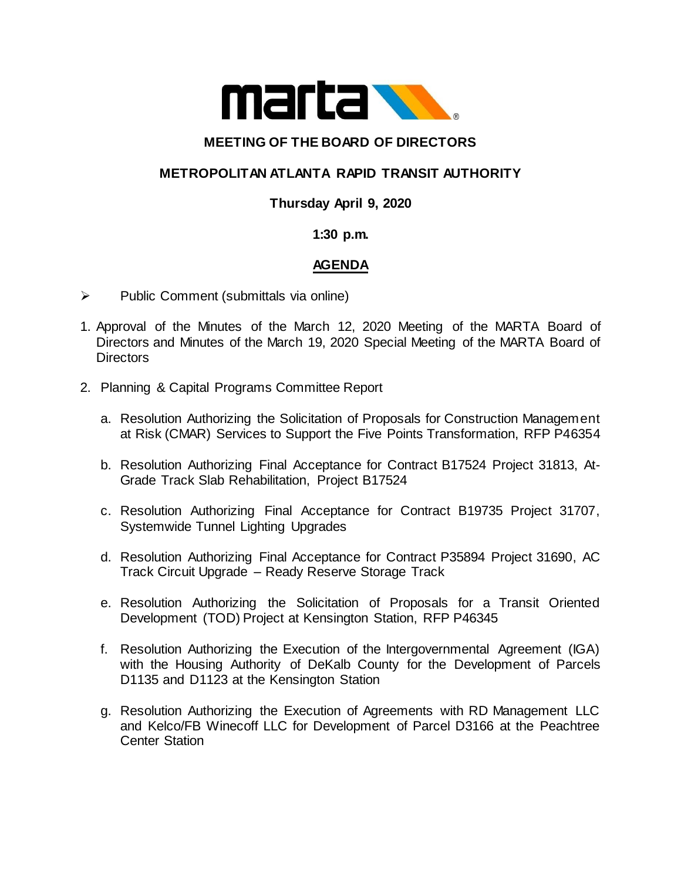

## **MEETING OF THE BOARD OF DIRECTORS**

# **METROPOLITAN ATLANTA RAPID TRANSIT AUTHORITY**

## **Thursday April 9, 2020**

### **1:30 p.m.**

## **AGENDA**

- $\triangleright$  Public Comment (submittals via online)
- 1. Approval of the Minutes of the March 12, 2020 Meeting of the MARTA Board of Directors and Minutes of the March 19, 2020 Special Meeting of the MARTA Board of **Directors**
- 2. Planning & Capital Programs Committee Report
	- a. Resolution Authorizing the Solicitation of Proposals for Construction Management at Risk (CMAR) Services to Support the Five Points Transformation, RFP P46354
	- b. Resolution Authorizing Final Acceptance for Contract B17524 Project 31813, At-Grade Track Slab Rehabilitation, Project B17524
	- c. Resolution Authorizing Final Acceptance for Contract B19735 Project 31707, Systemwide Tunnel Lighting Upgrades
	- d. Resolution Authorizing Final Acceptance for Contract P35894 Project 31690, AC Track Circuit Upgrade – Ready Reserve Storage Track
	- e. Resolution Authorizing the Solicitation of Proposals for a Transit Oriented Development (TOD) Project at Kensington Station, RFP P46345
	- f. Resolution Authorizing the Execution of the Intergovernmental Agreement (IGA) with the Housing Authority of DeKalb County for the Development of Parcels D1135 and D1123 at the Kensington Station
	- g. Resolution Authorizing the Execution of Agreements with RD Management LLC and Kelco/FB Winecoff LLC for Development of Parcel D3166 at the Peachtree Center Station